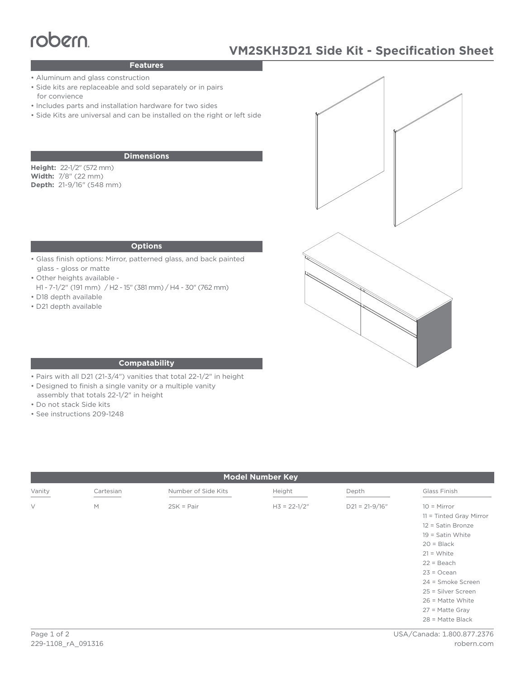# Features

# **VM2SKH3D21 Side Kit - Specification Sheet**

### **Features**

- Aluminum and glass construction
- Side kits are replaceable and sold separately or in pairs for convience
- Includes parts and installation hardware for two sides
- Side Kits are universal and can be installed on the right or left side

#### **Dimensions**

**Height:** 22-1/2" (572 mm) **Width:** 7/8" (22 mm) **Depth:** 21-9/16" (548 mm)

#### **Options**

- Glass finish options: Mirror, patterned glass, and back painted glass - gloss or matte
- Other heights available -
- H1 7-1/2" (191 mm) / H2 15" (381 mm) / H4 30" (762 mm) • D18 depth available
- 
- D21 depth available



#### **Compatability**

- Pairs with all D21 (21-3/4") vanities that total 22-1/2" in height
- Designed to finish a single vanity or a multiple vanity
- assembly that totals 22-1/2" in height
- Do not stack Side kits
- See instructions 209-1248

| <b>Model Number Key</b> |           |                     |                  |                    |                                                                                                                                                                                                |
|-------------------------|-----------|---------------------|------------------|--------------------|------------------------------------------------------------------------------------------------------------------------------------------------------------------------------------------------|
| Vanity                  | Cartesian | Number of Side Kits | Height           | Depth              | Glass Finish                                                                                                                                                                                   |
| $\vee$                  | M         | $2SK = Pair$        | $H3 = 22 - 1/2"$ | $D21 = 21 - 9/16"$ | $10 =$ Mirror<br>11 = Tinted Gray Mirror<br>12 = Satin Bronze<br>$19 =$ Satin White<br>$20 = Black$<br>$21 = White$<br>$22 = Beach$<br>$23 = Ocean$<br>24 = Smoke Screen<br>25 = Silver Screen |
|                         |           |                     |                  |                    | $26$ = Matte White<br>$27$ = Matte Gray<br>$28$ = Matte Black                                                                                                                                  |